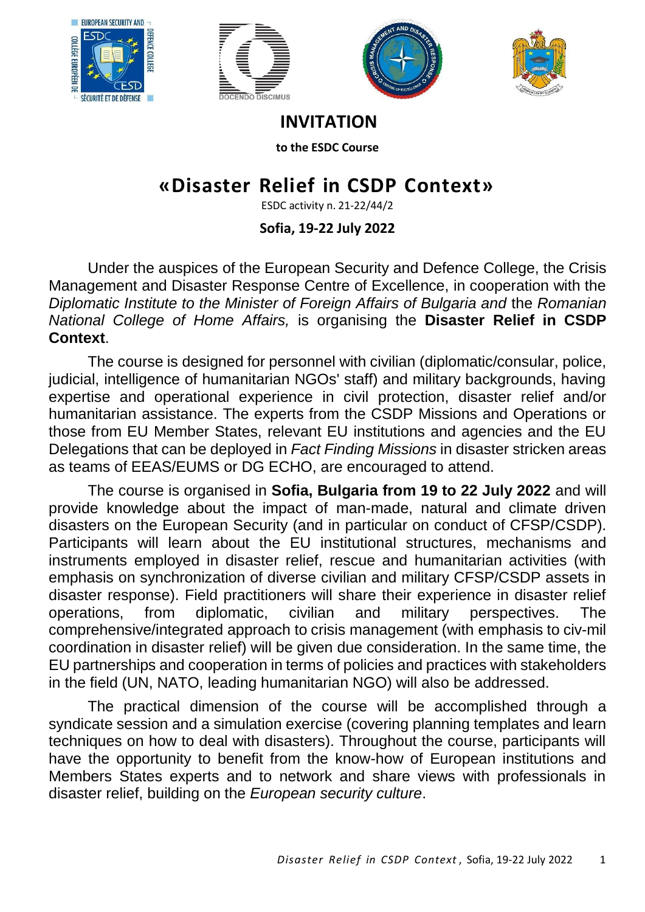







**INVITATION**

**to the ESDC Course**

## **«Disaster Relief in CSDP Context»**

ESDC activity n. 21-22/44/2

## **Sofia, 19-22 July 2022**

Under the auspices of the European Security and Defence College, the Crisis Management and Disaster Response Centre of Excellence, in cooperation with the *Diplomatic Institute to the Minister of Foreign Affairs of Bulgaria and* the *Romanian National College of Home Affairs,* is organising the **Disaster Relief in CSDP Context**.

The course is designed for personnel with civilian (diplomatic/consular, police, judicial, intelligence of humanitarian NGOs' staff) and military backgrounds, having expertise and operational experience in civil protection, disaster relief and/or humanitarian assistance. The experts from the CSDP Missions and Operations or those from EU Member States, relevant EU institutions and agencies and the EU Delegations that can be deployed in *Fact Finding Missions* in disaster stricken areas as teams of EEAS/EUMS or DG ECHO, are encouraged to attend.

The course is organised in **Sofia, Bulgaria from 19 to 22 July 2022** and will provide knowledge about the impact of man-made, natural and climate driven disasters on the European Security (and in particular on conduct of CFSP/CSDP). Participants will learn about the EU institutional structures, mechanisms and instruments employed in disaster relief, rescue and humanitarian activities (with emphasis on synchronization of diverse civilian and military CFSP/CSDP assets in disaster response). Field practitioners will share their experience in disaster relief operations, from diplomatic, civilian and military perspectives. The comprehensive/integrated approach to crisis management (with emphasis to civ-mil coordination in disaster relief) will be given due consideration. In the same time, the EU partnerships and cooperation in terms of policies and practices with stakeholders in the field (UN, NATO, leading humanitarian NGO) will also be addressed.

The practical dimension of the course will be accomplished through a syndicate session and a simulation exercise (covering planning templates and learn techniques on how to deal with disasters). Throughout the course, participants will have the opportunity to benefit from the know-how of European institutions and Members States experts and to network and share views with professionals in disaster relief, building on the *European security culture*.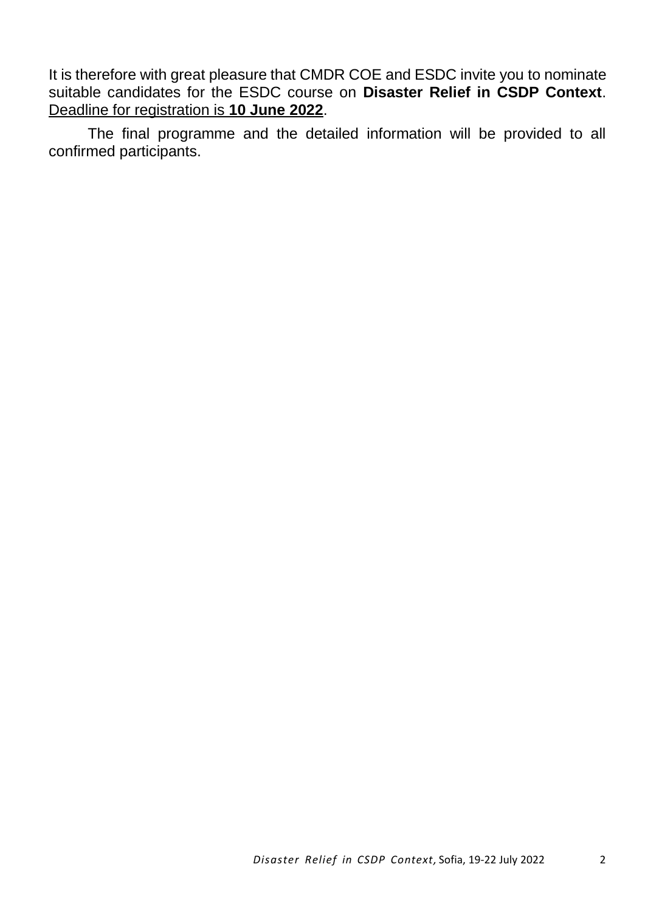It is therefore with great pleasure that CMDR COE and ESDC invite you to nominate suitable candidates for the ESDC course on **Disaster Relief in CSDP Context**. Deadline for registration is **10 June 2022**.

The final programme and the detailed information will be provided to all confirmed participants.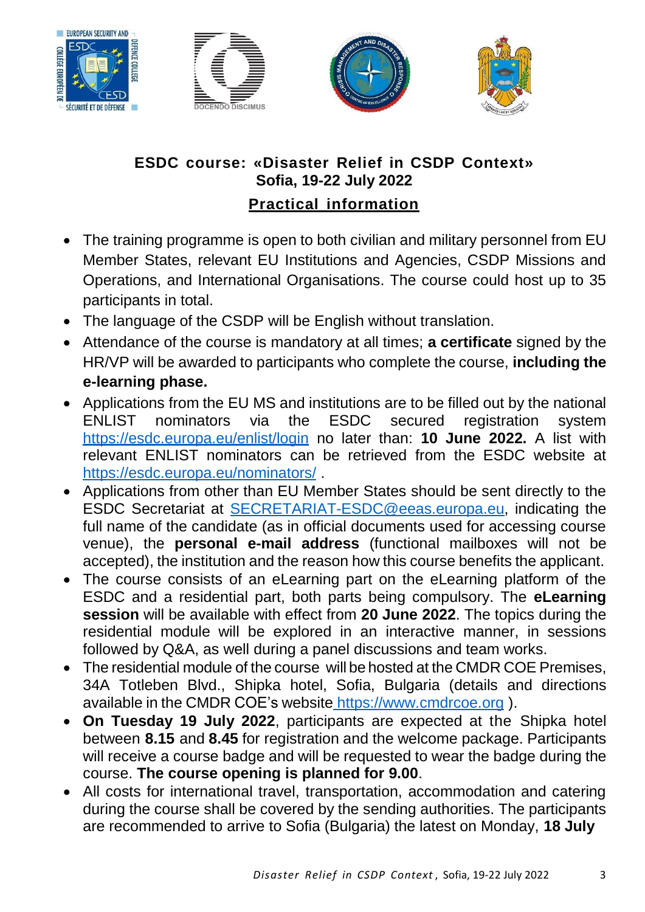







## **ESDC course: «Disaster Relief in CSDP Context» Sofia, 19-22 July 2022 Practical information**

- The training programme is open to both civilian and military personnel from EU Member States, relevant EU Institutions and Agencies, CSDP Missions and Operations, and International Organisations. The course could host up to 35 participants in total.
- The language of the CSDP will be English without translation.
- Attendance of the course is mandatory at all times; **a certificate** signed by the HR/VP will be awarded to participants who complete the course, **including the e-learning phase.**
- Applications from the EU MS and institutions are to be filled out by the national ENLIST nominators via the ESDC secured registration system <https://esdc.europa.eu/enlist/login> no later than: **10 June 2022.** A list with relevant ENLIST nominators can be retrieved from the ESDC website at <https://esdc.europa.eu/nominators/> .
- Applications from other than EU Member States should be sent directly to the ESDC Secretariat at [SECRETARIAT-ESDC@eeas.europa.eu,](mailto:SECRETARIAT-ESDC@eeas.europa.eu) indicating the full name of the candidate (as in official documents used for accessing course venue), the **personal e-mail address** (functional mailboxes will not be accepted), the institution and the reason how this course benefits the applicant.
- The course consists of an eLearning part on the eLearning platform of the ESDC and a residential part, both parts being compulsory. The **eLearning session** will be available with effect from **20 June 2022**. The topics during the residential module will be explored in an interactive manner, in sessions followed by Q&A, as well during a panel discussions and team works.
- The residential module of the course will be hosted at the CMDR COE Premises, 34A Totleben Blvd., Shipka hotel, Sofia, Bulgaria (details and directions available in the CMDR COE's website [https://www.cmdrcoe.org](https://www.cmdrcoe.org/) ).
- **On Tuesday 19 July 2022**, participants are expected at the Shipka hotel between **8.15** and **8.45** for registration and the welcome package. Participants will receive a course badge and will be requested to wear the badge during the course. **The course opening is planned for 9.00**.
- All costs for international travel, transportation, accommodation and catering during the course shall be covered by the sending authorities. The participants are recommended to arrive to Sofia (Bulgaria) the latest on Monday, **18 July**